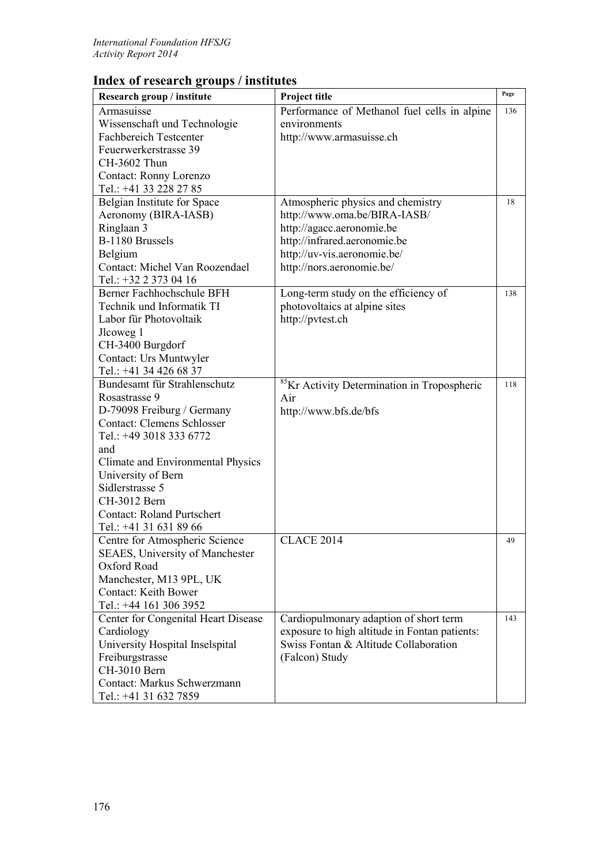## **Index of research groups / institutes**

| Research group / institute                            | Project title                                           | Page |
|-------------------------------------------------------|---------------------------------------------------------|------|
|                                                       |                                                         |      |
| Armasuisse                                            | Performance of Methanol fuel cells in alpine            | 136  |
| Wissenschaft und Technologie                          | environments                                            |      |
| <b>Fachbereich Testcenter</b>                         | http://www.armasuisse.ch                                |      |
| Feuerwerkerstrasse 39                                 |                                                         |      |
| CH-3602 Thun                                          |                                                         |      |
| Contact: Ronny Lorenzo                                |                                                         |      |
| Tel.: +41 33 228 27 85                                |                                                         |      |
| Belgian Institute for Space                           | Atmospheric physics and chemistry                       | 18   |
| Aeronomy (BIRA-IASB)                                  | http://www.oma.be/BIRA-IASB/                            |      |
| Ringlaan 3                                            | http://agacc.aeronomie.be                               |      |
| B-1180 Brussels                                       | http://infrared.aeronomie.be                            |      |
| Belgium                                               | http://uv-vis.aeronomie.be/                             |      |
| Contact: Michel Van Roozendael                        | http://nors.aeronomie.be/                               |      |
| Tel.: +32 2 373 04 16                                 |                                                         |      |
| Berner Fachhochschule BFH                             | Long-term study on the efficiency of                    | 138  |
| Technik und Informatik TI                             | photovoltaics at alpine sites                           |      |
| Labor für Photovoltaik                                | http://pvtest.ch                                        |      |
| Jlcoweg 1                                             |                                                         |      |
| CH-3400 Burgdorf                                      |                                                         |      |
| Contact: Urs Muntwyler                                |                                                         |      |
| Tel.: +41 34 426 68 37                                |                                                         |      |
| Bundesamt für Strahlenschutz                          | <sup>85</sup> Kr Activity Determination in Tropospheric | 118  |
| Rosastrasse 9                                         | Air                                                     |      |
| D-79098 Freiburg / Germany                            | http://www.bfs.de/bfs                                   |      |
| <b>Contact: Clemens Schlosser</b>                     |                                                         |      |
| Tel.: +49 3018 333 6772                               |                                                         |      |
| and                                                   |                                                         |      |
| Climate and Environmental Physics                     |                                                         |      |
| University of Bern                                    |                                                         |      |
| Sidlerstrasse 5                                       |                                                         |      |
| CH-3012 Bern                                          |                                                         |      |
| <b>Contact: Roland Purtschert</b>                     |                                                         |      |
| Tel.: +41 31 631 89 66                                |                                                         |      |
| Centre for Atmospheric Science                        | <b>CLACE 2014</b>                                       | 49   |
|                                                       |                                                         |      |
| <b>SEAES, University of Manchester</b><br>Oxford Road |                                                         |      |
|                                                       |                                                         |      |
| Manchester, M13 9PL, UK                               |                                                         |      |
| <b>Contact: Keith Bower</b>                           |                                                         |      |
| Tel.: +44 161 306 3952                                |                                                         |      |
| Center for Congenital Heart Disease                   | Cardiopulmonary adaption of short term                  | 143  |
| Cardiology                                            | exposure to high altitude in Fontan patients:           |      |
| University Hospital Inselspital                       | Swiss Fontan & Altitude Collaboration                   |      |
| Freiburgstrasse                                       | (Falcon) Study                                          |      |
| CH-3010 Bern                                          |                                                         |      |
| Contact: Markus Schwerzmann                           |                                                         |      |
| Tel.: +41 31 632 7859                                 |                                                         |      |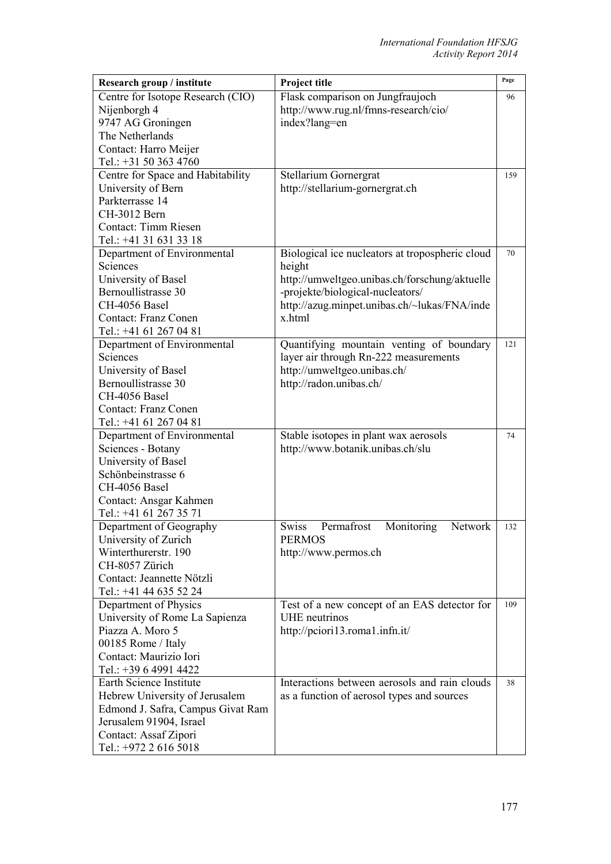| Research group / institute                       | Project title                                   | Page |
|--------------------------------------------------|-------------------------------------------------|------|
| Centre for Isotope Research (CIO)                | Flask comparison on Jungfraujoch                | 96   |
| Nijenborgh 4                                     | http://www.rug.nl/fmns-research/cio/            |      |
| 9747 AG Groningen                                | index?lang=en                                   |      |
| The Netherlands                                  |                                                 |      |
| Contact: Harro Meijer                            |                                                 |      |
| Tel.: +31 50 363 4760                            |                                                 |      |
| Centre for Space and Habitability                | Stellarium Gornergrat                           | 159  |
| University of Bern                               | http://stellarium-gornergrat.ch                 |      |
| Parkterrasse 14                                  |                                                 |      |
| CH-3012 Bern                                     |                                                 |      |
| Contact: Timm Riesen                             |                                                 |      |
| Tel.: +41 31 631 33 18                           |                                                 |      |
| Department of Environmental                      | Biological ice nucleators at tropospheric cloud | 70   |
| Sciences                                         | height                                          |      |
| University of Basel                              | http://umweltgeo.unibas.ch/forschung/aktuelle   |      |
| Bernoullistrasse 30                              | -projekte/biological-nucleators/                |      |
| CH-4056 Basel                                    | http://azug.minpet.unibas.ch/~lukas/FNA/inde    |      |
| <b>Contact: Franz Conen</b>                      | x.html                                          |      |
| Tel.: +41 61 267 04 81                           |                                                 |      |
| Department of Environmental                      | Quantifying mountain venting of boundary        | 121  |
| Sciences                                         | layer air through Rn-222 measurements           |      |
| University of Basel                              | http://umweltgeo.unibas.ch/                     |      |
| Bernoullistrasse 30                              | http://radon.unibas.ch/                         |      |
| CH-4056 Basel                                    |                                                 |      |
| <b>Contact: Franz Conen</b>                      |                                                 |      |
| Tel.: +41 61 267 04 81                           |                                                 |      |
| Department of Environmental                      | Stable isotopes in plant wax aerosols           | 74   |
| Sciences - Botany                                | http://www.botanik.unibas.ch/slu                |      |
| University of Basel                              |                                                 |      |
| Schönbeinstrasse 6                               |                                                 |      |
| CH-4056 Basel                                    |                                                 |      |
| Contact: Ansgar Kahmen<br>Tel.: +41 61 267 35 71 |                                                 |      |
|                                                  | Permafrost<br>Network                           | 132  |
| Department of Geography<br>University of Zurich  | <b>Swiss</b><br>Monitoring<br><b>PERMOS</b>     |      |
| Winterthurerstr. 190                             | http://www.permos.ch                            |      |
| CH-8057 Zürich                                   |                                                 |      |
| Contact: Jeannette Nötzli                        |                                                 |      |
| Tel.: +41 44 635 52 24                           |                                                 |      |
| Department of Physics                            | Test of a new concept of an EAS detector for    | 109  |
| University of Rome La Sapienza                   | UHE neutrinos                                   |      |
| Piazza A. Moro 5                                 | http://pciori13.roma1.infn.it/                  |      |
| 00185 Rome / Italy                               |                                                 |      |
| Contact: Maurizio Iori                           |                                                 |      |
| Tel.: +39 6 4991 4422                            |                                                 |      |
| Earth Science Institute                          | Interactions between aerosols and rain clouds   | 38   |
| Hebrew University of Jerusalem                   | as a function of aerosol types and sources      |      |
| Edmond J. Safra, Campus Givat Ram                |                                                 |      |
| Jerusalem 91904, Israel                          |                                                 |      |
| Contact: Assaf Zipori                            |                                                 |      |
| Tel.: +972 2 616 5018                            |                                                 |      |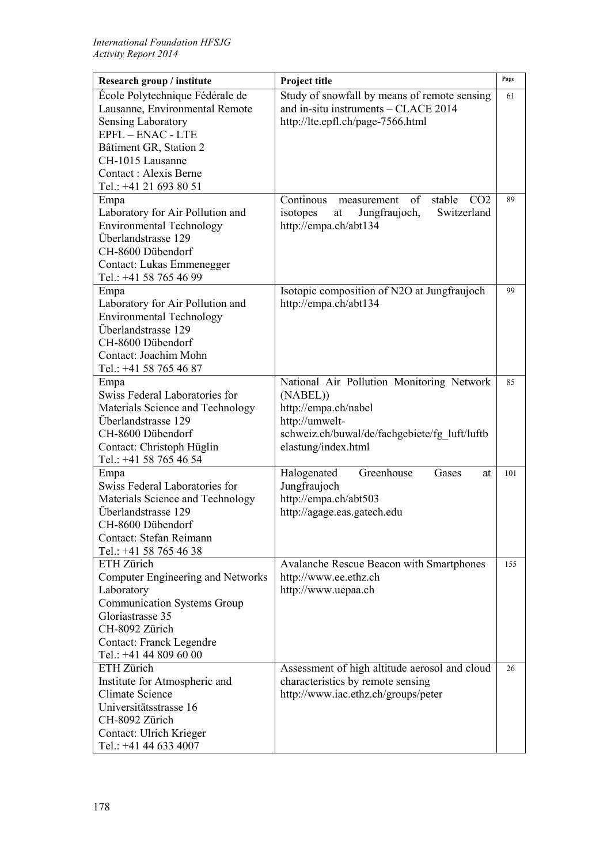| Research group / institute                          | Project title                                               | Page |
|-----------------------------------------------------|-------------------------------------------------------------|------|
| École Polytechnique Fédérale de                     | Study of snowfall by means of remote sensing                | 61   |
| Lausanne, Environmental Remote                      | and in-situ instruments - CLACE 2014                        |      |
| Sensing Laboratory                                  | http://lte.epfl.ch/page-7566.html                           |      |
| $EPEL - ENAC - LTE$                                 |                                                             |      |
| Bâtiment GR, Station 2                              |                                                             |      |
| CH-1015 Lausanne                                    |                                                             |      |
| Contact: Alexis Berne                               |                                                             |      |
| Tel.: +41 21 693 80 51                              |                                                             |      |
| Empa                                                | Continous<br>of<br>stable<br>CO <sub>2</sub><br>measurement | 89   |
| Laboratory for Air Pollution and                    | Switzerland<br>isotopes<br>Jungfraujoch,<br>at              |      |
| <b>Environmental Technology</b>                     | http://empa.ch/abt134                                       |      |
| Überlandstrasse 129                                 |                                                             |      |
| CH-8600 Dübendorf                                   |                                                             |      |
| Contact: Lukas Emmenegger                           |                                                             |      |
| Tel.: +41 58 765 46 99                              |                                                             |      |
| Empa                                                | Isotopic composition of N2O at Jungfraujoch                 | 99   |
| Laboratory for Air Pollution and                    | http://empa.ch/abt134                                       |      |
| <b>Environmental Technology</b>                     |                                                             |      |
| Überlandstrasse 129                                 |                                                             |      |
| CH-8600 Dübendorf                                   |                                                             |      |
| Contact: Joachim Mohn                               |                                                             |      |
| Tel.: +41 58 765 46 87                              |                                                             |      |
| Empa                                                | National Air Pollution Monitoring Network                   | 85   |
| Swiss Federal Laboratories for                      | (NABEL))                                                    |      |
| Materials Science and Technology                    | http://empa.ch/nabel                                        |      |
| Überlandstrasse 129                                 | http://umwelt-                                              |      |
| CH-8600 Dübendorf                                   | schweiz.ch/buwal/de/fachgebiete/fg_luft/luftb               |      |
| Contact: Christoph Hüglin<br>Tel.: +41 58 765 46 54 | elastung/index.html                                         |      |
| Empa                                                | Greenhouse<br>Halogenated<br>Gases<br>at                    | 101  |
| Swiss Federal Laboratories for                      | Jungfraujoch                                                |      |
| Materials Science and Technology                    | http://empa.ch/abt503                                       |      |
| Überlandstrasse 129                                 | http://agage.eas.gatech.edu                                 |      |
| CH-8600 Dübendorf                                   |                                                             |      |
| Contact: Stefan Reimann                             |                                                             |      |
| Tel.: +41 58 765 46 38                              |                                                             |      |
| ETH Zürich                                          | <b>Avalanche Rescue Beacon with Smartphones</b>             | 155  |
| <b>Computer Engineering and Networks</b>            | http://www.ee.ethz.ch                                       |      |
| Laboratory                                          | http://www.uepaa.ch                                         |      |
| <b>Communication Systems Group</b>                  |                                                             |      |
| Gloriastrasse 35                                    |                                                             |      |
| CH-8092 Zürich                                      |                                                             |      |
| <b>Contact: Franck Legendre</b>                     |                                                             |      |
| Tel.: +41 44 809 60 00                              |                                                             |      |
| ETH Zürich                                          | Assessment of high altitude aerosol and cloud               | 26   |
| Institute for Atmospheric and                       | characteristics by remote sensing                           |      |
| <b>Climate Science</b>                              | http://www.iac.ethz.ch/groups/peter                         |      |
| Universitätsstrasse 16                              |                                                             |      |
| CH-8092 Zürich                                      |                                                             |      |
| Contact: Ulrich Krieger                             |                                                             |      |
| Tel.: +41 44 633 4007                               |                                                             |      |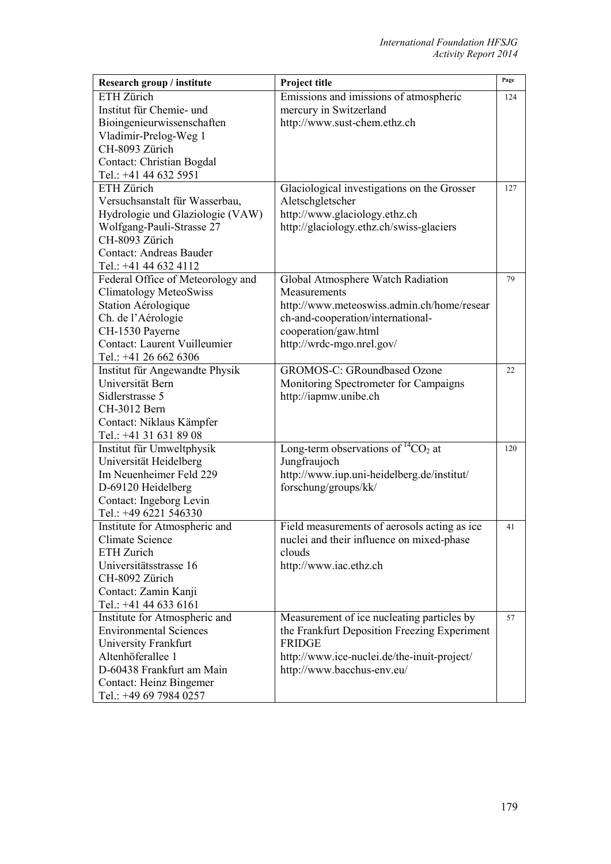| Research group / institute        | Project title                                | Page |
|-----------------------------------|----------------------------------------------|------|
| ETH Zürich                        | Emissions and imissions of atmospheric       | 124  |
| Institut für Chemie- und          | mercury in Switzerland                       |      |
| Bioingenieurwissenschaften        | http://www.sust-chem.ethz.ch                 |      |
| Vladimir-Prelog-Weg 1             |                                              |      |
| CH-8093 Zürich                    |                                              |      |
| Contact: Christian Bogdal         |                                              |      |
| Tel.: +41 44 632 5951             |                                              |      |
| ETH Zürich                        | Glaciological investigations on the Grosser  | 127  |
| Versuchsanstalt für Wasserbau,    | Aletschgletscher                             |      |
| Hydrologie und Glaziologie (VAW)  | http://www.glaciology.ethz.ch                |      |
| Wolfgang-Pauli-Strasse 27         | http://glaciology.ethz.ch/swiss-glaciers     |      |
| CH-8093 Zürich                    |                                              |      |
| <b>Contact: Andreas Bauder</b>    |                                              |      |
| Tel.: +41 44 632 4112             |                                              |      |
| Federal Office of Meteorology and | Global Atmosphere Watch Radiation            | 79   |
| <b>Climatology MeteoSwiss</b>     | Measurements                                 |      |
| Station Aérologique               | http://www.meteoswiss.admin.ch/home/resear   |      |
| Ch. de l'Aérologie                | ch-and-cooperation/international-            |      |
| CH-1530 Payerne                   | cooperation/gaw.html                         |      |
| Contact: Laurent Vuilleumier      | http://wrdc-mgo.nrel.gov/                    |      |
| Tel.: +41 26 662 6306             |                                              |      |
| Institut für Angewandte Physik    | <b>GROMOS-C: GRoundbased Ozone</b>           | 22   |
| Universität Bern                  | Monitoring Spectrometer for Campaigns        |      |
| Sidlerstrasse 5                   | http://iapmw.unibe.ch                        |      |
| CH-3012 Bern                      |                                              |      |
| Contact: Niklaus Kämpfer          |                                              |      |
| Tel.: +41 31 631 89 08            |                                              |      |
| Institut für Umweltphysik         | Long-term observations of ${}^{14}CO_2$ at   | 120  |
| Universität Heidelberg            | Jungfraujoch                                 |      |
| Im Neuenheimer Feld 229           | http://www.iup.uni-heidelberg.de/institut/   |      |
| D-69120 Heidelberg                | forschung/groups/kk/                         |      |
| Contact: Ingeborg Levin           |                                              |      |
| Tel.: +49 6221 546330             |                                              |      |
| Institute for Atmospheric and     | Field measurements of aerosols acting as ice | 41   |
| Climate Science                   | nuclei and their influence on mixed-phase    |      |
| ETH Zurich                        | clouds                                       |      |
| Universitätsstrasse 16            | http://www.iac.ethz.ch                       |      |
| CH-8092 Zürich                    |                                              |      |
| Contact: Zamin Kanji              |                                              |      |
| Tel.: +41 44 633 6161             |                                              |      |
| Institute for Atmospheric and     | Measurement of ice nucleating particles by   | 57   |
| <b>Environmental Sciences</b>     | the Frankfurt Deposition Freezing Experiment |      |
| University Frankfurt              | <b>FRIDGE</b>                                |      |
| Altenhöferallee 1                 | http://www.ice-nuclei.de/the-inuit-project/  |      |
| D-60438 Frankfurt am Main         | http://www.bacchus-env.eu/                   |      |
| <b>Contact: Heinz Bingemer</b>    |                                              |      |
| Tel.: +49 69 7984 0257            |                                              |      |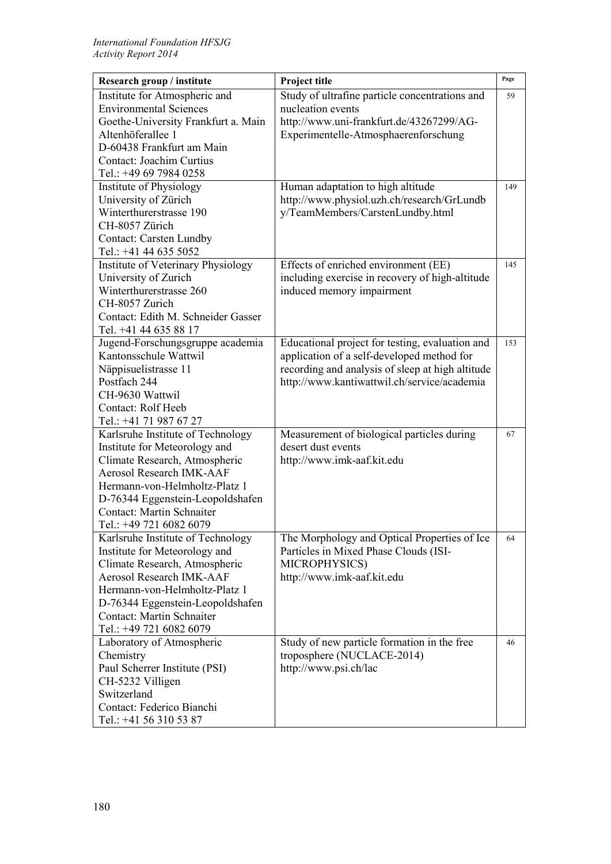| Research group / institute                | Project title                                    | Page |
|-------------------------------------------|--------------------------------------------------|------|
| Institute for Atmospheric and             | Study of ultrafine particle concentrations and   | 59   |
| <b>Environmental Sciences</b>             | nucleation events                                |      |
| Goethe-University Frankfurt a. Main       | http://www.uni-frankfurt.de/43267299/AG-         |      |
| Altenhöferallee 1                         | Experimentelle-Atmosphaerenforschung             |      |
| D-60438 Frankfurt am Main                 |                                                  |      |
| Contact: Joachim Curtius                  |                                                  |      |
| Tel.: +49 69 7984 0258                    |                                                  |      |
| Institute of Physiology                   | Human adaptation to high altitude                | 149  |
| University of Zürich                      | http://www.physiol.uzh.ch/research/GrLundb       |      |
| Winterthurerstrasse 190                   | y/TeamMembers/CarstenLundby.html                 |      |
| CH-8057 Zürich                            |                                                  |      |
| <b>Contact: Carsten Lundby</b>            |                                                  |      |
| Tel.: +41 44 635 5052                     |                                                  |      |
| <b>Institute of Veterinary Physiology</b> | Effects of enriched environment (EE)             | 145  |
| University of Zurich                      | including exercise in recovery of high-altitude  |      |
| Winterthurerstrasse 260                   | induced memory impairment                        |      |
| CH-8057 Zurich                            |                                                  |      |
| Contact: Edith M. Schneider Gasser        |                                                  |      |
| Tel. +41 44 635 88 17                     |                                                  |      |
| Jugend-Forschungsgruppe academia          | Educational project for testing, evaluation and  | 153  |
| Kantonsschule Wattwil                     | application of a self-developed method for       |      |
| Näppisuelistrasse 11                      | recording and analysis of sleep at high altitude |      |
| Postfach 244                              | http://www.kantiwattwil.ch/service/academia      |      |
| CH-9630 Wattwil                           |                                                  |      |
| Contact: Rolf Heeb                        |                                                  |      |
| Tel.: +41 71 987 67 27                    |                                                  |      |
| Karlsruhe Institute of Technology         | Measurement of biological particles during       | 67   |
| Institute for Meteorology and             | desert dust events                               |      |
| Climate Research, Atmospheric             | http://www.imk-aaf.kit.edu                       |      |
| <b>Aerosol Research IMK-AAF</b>           |                                                  |      |
| Hermann-von-Helmholtz-Platz 1             |                                                  |      |
| D-76344 Eggenstein-Leopoldshafen          |                                                  |      |
| <b>Contact: Martin Schnaiter</b>          |                                                  |      |
| Tel.: +49 721 6082 6079                   |                                                  |      |
| Karlsruhe Institute of Technology         | The Morphology and Optical Properties of Ice     | 64   |
| Institute for Meteorology and             | Particles in Mixed Phase Clouds (ISI-            |      |
| Climate Research, Atmospheric             | MICROPHYSICS)                                    |      |
| <b>Aerosol Research IMK-AAF</b>           | http://www.imk-aaf.kit.edu                       |      |
| Hermann-von-Helmholtz-Platz 1             |                                                  |      |
| D-76344 Eggenstein-Leopoldshafen          |                                                  |      |
| Contact: Martin Schnaiter                 |                                                  |      |
| Tel.: +49 721 6082 6079                   |                                                  |      |
| Laboratory of Atmospheric                 | Study of new particle formation in the free      | 46   |
| Chemistry                                 | troposphere (NUCLACE-2014)                       |      |
| Paul Scherrer Institute (PSI)             | http://www.psi.ch/lac                            |      |
| CH-5232 Villigen                          |                                                  |      |
| Switzerland                               |                                                  |      |
| Contact: Federico Bianchi                 |                                                  |      |
| Tel.: +41 56 310 53 87                    |                                                  |      |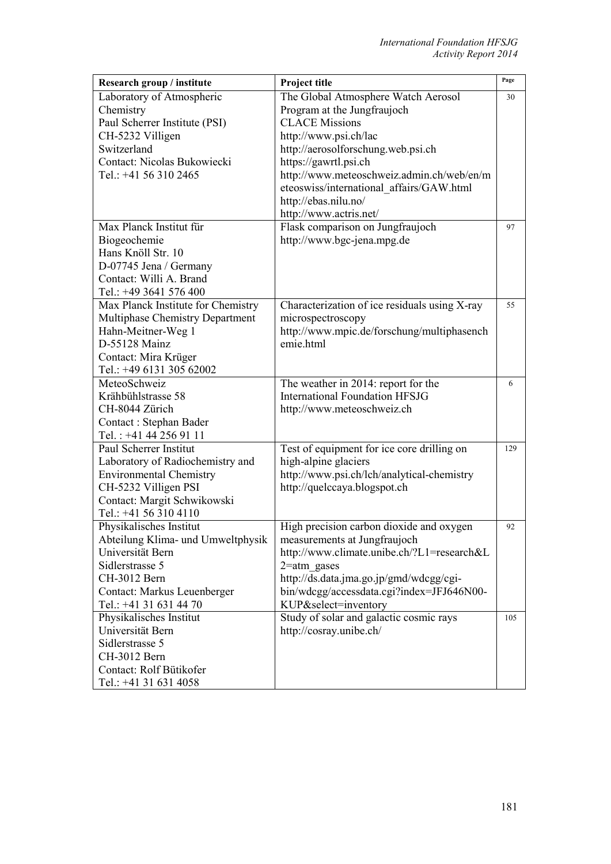| Research group / institute         | Project title                                 | Page |
|------------------------------------|-----------------------------------------------|------|
| Laboratory of Atmospheric          | The Global Atmosphere Watch Aerosol           | 30   |
| Chemistry                          | Program at the Jungfraujoch                   |      |
| Paul Scherrer Institute (PSI)      | <b>CLACE Missions</b>                         |      |
| CH-5232 Villigen                   | http://www.psi.ch/lac                         |      |
| Switzerland                        | http://aerosolforschung.web.psi.ch            |      |
| Contact: Nicolas Bukowiecki        | https://gawrtl.psi.ch                         |      |
| Tel.: +41 56 310 2465              | http://www.meteoschweiz.admin.ch/web/en/m     |      |
|                                    | eteoswiss/international affairs/GAW.html      |      |
|                                    | http://ebas.nilu.no/                          |      |
|                                    | http://www.actris.net/                        |      |
| Max Planck Institut für            | Flask comparison on Jungfraujoch              | 97   |
| Biogeochemie                       | http://www.bgc-jena.mpg.de                    |      |
| Hans Knöll Str. 10                 |                                               |      |
| D-07745 Jena / Germany             |                                               |      |
| Contact: Willi A. Brand            |                                               |      |
| Tel.: +49 3641 576 400             |                                               |      |
| Max Planck Institute for Chemistry | Characterization of ice residuals using X-ray | 55   |
| Multiphase Chemistry Department    | microspectroscopy                             |      |
| Hahn-Meitner-Weg 1                 | http://www.mpic.de/forschung/multiphasench    |      |
| D-55128 Mainz                      | emie.html                                     |      |
| Contact: Mira Krüger               |                                               |      |
| Tel.: +49 6131 305 62002           |                                               |      |
| MeteoSchweiz                       | The weather in 2014: report for the           | 6    |
| Krähbühlstrasse 58                 | <b>International Foundation HFSJG</b>         |      |
| CH-8044 Zürich                     | http://www.meteoschweiz.ch                    |      |
| Contact: Stephan Bader             |                                               |      |
| Tel.: +41 44 256 91 11             |                                               |      |
| Paul Scherrer Institut             | Test of equipment for ice core drilling on    | 129  |
| Laboratory of Radiochemistry and   | high-alpine glaciers                          |      |
| <b>Environmental Chemistry</b>     | http://www.psi.ch/lch/analytical-chemistry    |      |
| CH-5232 Villigen PSI               | http://quelccaya.blogspot.ch                  |      |
| Contact: Margit Schwikowski        |                                               |      |
| Tel.: +41 56 310 4110              |                                               |      |
| Physikalisches Institut            | High precision carbon dioxide and oxygen      | 92   |
| Abteilung Klima- und Umweltphysik  | measurements at Jungfraujoch                  |      |
| Universität Bern                   | http://www.climate.unibe.ch/?L1=research&L    |      |
| Sidlerstrasse 5                    | $2$ =atm gases                                |      |
| CH-3012 Bern                       | http://ds.data.jma.go.jp/gmd/wdcgg/cgi-       |      |
| Contact: Markus Leuenberger        | bin/wdcgg/accessdata.cgi?index=JFJ646N00-     |      |
| Tel.: +41 31 631 44 70             | KUP&select=inventory                          |      |
| Physikalisches Institut            | Study of solar and galactic cosmic rays       | 105  |
| Universität Bern                   | http://cosray.unibe.ch/                       |      |
| Sidlerstrasse 5                    |                                               |      |
| CH-3012 Bern                       |                                               |      |
| Contact: Rolf Bütikofer            |                                               |      |
| Tel.: +41 31 631 4058              |                                               |      |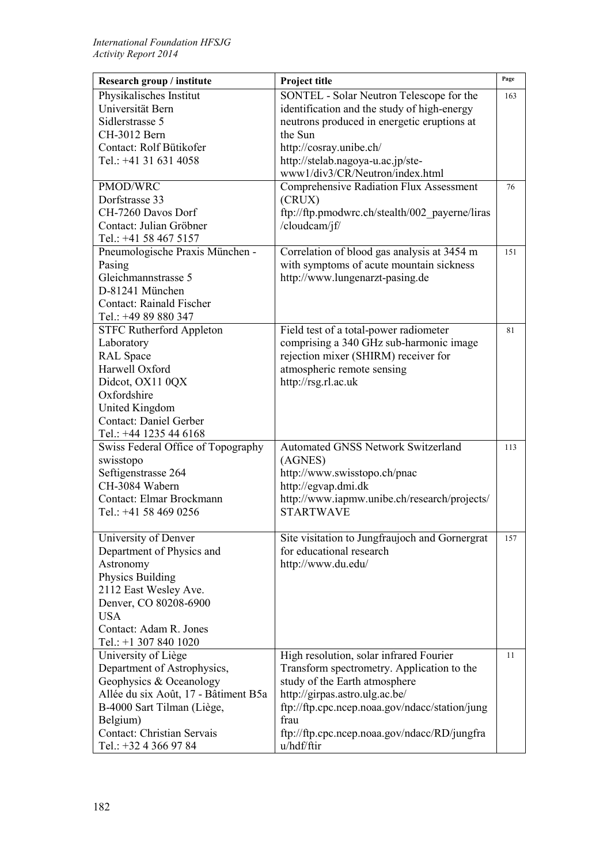| Research group / institute                     | Project title                                                               | Page |
|------------------------------------------------|-----------------------------------------------------------------------------|------|
| Physikalisches Institut                        | SONTEL - Solar Neutron Telescope for the                                    | 163  |
| Universität Bern                               | identification and the study of high-energy                                 |      |
| Sidlerstrasse 5                                | neutrons produced in energetic eruptions at                                 |      |
| CH-3012 Bern                                   | the Sun                                                                     |      |
| Contact: Rolf Bütikofer                        | http://cosray.unibe.ch/                                                     |      |
| Tel.: +41 31 631 4058                          | http://stelab.nagoya-u.ac.jp/ste-                                           |      |
|                                                | www1/div3/CR/Neutron/index.html                                             |      |
| PMOD/WRC                                       | <b>Comprehensive Radiation Flux Assessment</b>                              | 76   |
| Dorfstrasse 33                                 | (CRUX)                                                                      |      |
| CH-7260 Davos Dorf                             | ftp://ftp.pmodwrc.ch/stealth/002_payerne/liras                              |      |
| Contact: Julian Gröbner                        | /cloudcam/jf/                                                               |      |
| Tel.: +41 58 467 5157                          |                                                                             |      |
| Pneumologische Praxis München -                | Correlation of blood gas analysis at 3454 m                                 | 151  |
| Pasing<br>Gleichmannstrasse 5                  | with symptoms of acute mountain sickness<br>http://www.lungenarzt-pasing.de |      |
| D-81241 München                                |                                                                             |      |
| <b>Contact: Rainald Fischer</b>                |                                                                             |      |
| Tel.: +49 89 880 347                           |                                                                             |      |
| <b>STFC Rutherford Appleton</b>                | Field test of a total-power radiometer                                      | 81   |
| Laboratory                                     | comprising a 340 GHz sub-harmonic image                                     |      |
| <b>RAL</b> Space                               | rejection mixer (SHIRM) receiver for                                        |      |
| Harwell Oxford                                 | atmospheric remote sensing                                                  |      |
| Didcot, OX11 0QX                               | http://rsg.rl.ac.uk                                                         |      |
| Oxfordshire                                    |                                                                             |      |
| United Kingdom                                 |                                                                             |      |
| <b>Contact: Daniel Gerber</b>                  |                                                                             |      |
| Tel.: +44 1235 44 6168                         |                                                                             |      |
| Swiss Federal Office of Topography             | <b>Automated GNSS Network Switzerland</b>                                   | 113  |
| swisstopo                                      | (AGNES)                                                                     |      |
| Seftigenstrasse 264                            | http://www.swisstopo.ch/pnac                                                |      |
| CH-3084 Wabern                                 | http://egvap.dmi.dk                                                         |      |
| Contact: Elmar Brockmann                       | http://www.iapmw.unibe.ch/research/projects/                                |      |
| Tel.: +41 58 469 0256                          | <b>STARTWAVE</b>                                                            |      |
|                                                |                                                                             |      |
| University of Denver                           | Site visitation to Jungfraujoch and Gornergrat                              | 157  |
| Department of Physics and                      | for educational research                                                    |      |
| Astronomy                                      | http://www.du.edu/                                                          |      |
| Physics Building                               |                                                                             |      |
| 2112 East Wesley Ave.<br>Denver, CO 80208-6900 |                                                                             |      |
| <b>USA</b>                                     |                                                                             |      |
| Contact: Adam R. Jones                         |                                                                             |      |
| Tel.: +1 307 840 1020                          |                                                                             |      |
| University of Liège                            | High resolution, solar infrared Fourier                                     | 11   |
| Department of Astrophysics,                    | Transform spectrometry. Application to the                                  |      |
| Geophysics & Oceanology                        | study of the Earth atmosphere                                               |      |
| Allée du six Août, 17 - Bâtiment B5a           | http://girpas.astro.ulg.ac.be/                                              |      |
| B-4000 Sart Tilman (Liège,                     | ftp://ftp.cpc.ncep.noaa.gov/ndacc/station/jung                              |      |
| Belgium)                                       | frau                                                                        |      |
| <b>Contact: Christian Servais</b>              | ftp://ftp.cpc.ncep.noaa.gov/ndacc/RD/jungfra                                |      |
| Tel.: +32 4 366 97 84                          | u/hdf/ftir                                                                  |      |